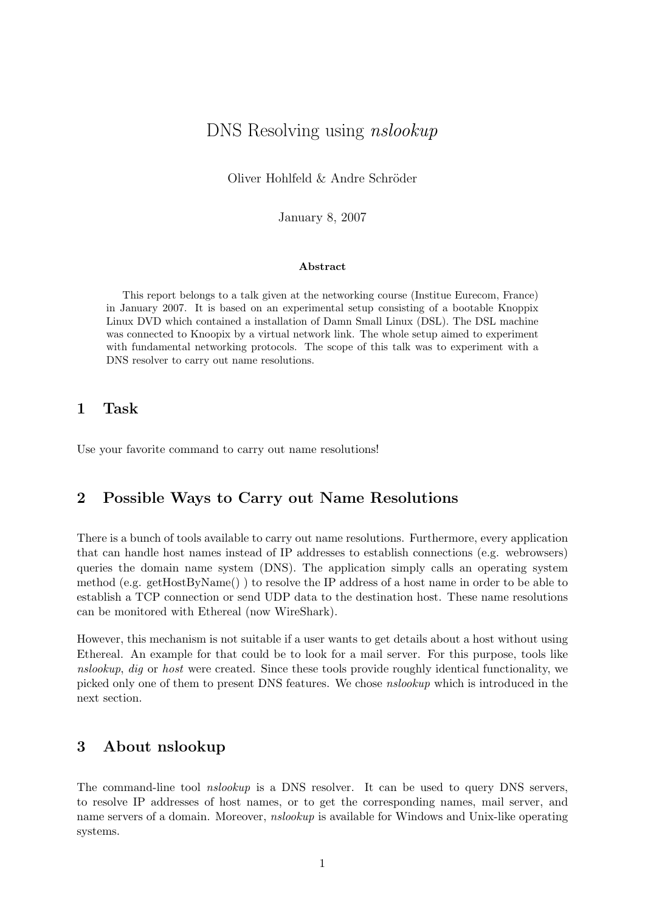# DNS Resolving using nslookup

Oliver Hohlfeld & Andre Schröder

January 8, 2007

#### Abstract

This report belongs to a talk given at the networking course (Institue Eurecom, France) in January 2007. It is based on an experimental setup consisting of a bootable Knoppix Linux DVD which contained a installation of Damn Small Linux (DSL). The DSL machine was connected to Knoopix by a virtual network link. The whole setup aimed to experiment with fundamental networking protocols. The scope of this talk was to experiment with a DNS resolver to carry out name resolutions.

## 1 Task

Use your favorite command to carry out name resolutions!

## 2 Possible Ways to Carry out Name Resolutions

There is a bunch of tools available to carry out name resolutions. Furthermore, every application that can handle host names instead of IP addresses to establish connections (e.g. webrowsers) queries the domain name system (DNS). The application simply calls an operating system method (e.g. getHostByName() ) to resolve the IP address of a host name in order to be able to establish a TCP connection or send UDP data to the destination host. These name resolutions can be monitored with Ethereal (now WireShark).

However, this mechanism is not suitable if a user wants to get details about a host without using Ethereal. An example for that could be to look for a mail server. For this purpose, tools like nslookup, dig or host were created. Since these tools provide roughly identical functionality, we picked only one of them to present DNS features. We chose nslookup which is introduced in the next section.

## 3 About nslookup

The command-line tool *nslookup* is a DNS resolver. It can be used to query DNS servers, to resolve IP addresses of host names, or to get the corresponding names, mail server, and name servers of a domain. Moreover, *nslookup* is available for Windows and Unix-like operating systems.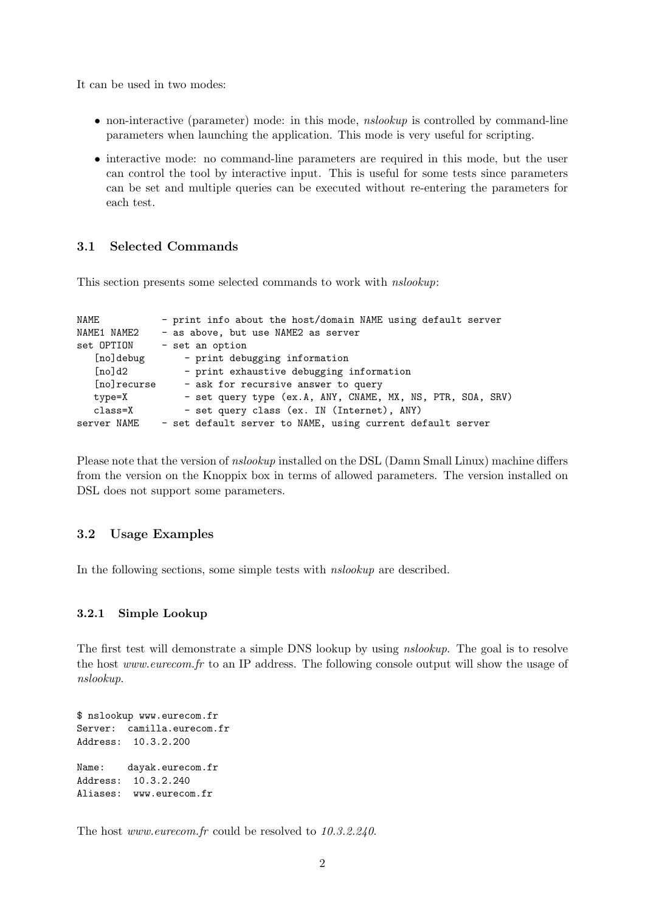It can be used in two modes:

- non-interactive (parameter) mode: in this mode, *nslookup* is controlled by command-line parameters when launching the application. This mode is very useful for scripting.
- interactive mode: no command-line parameters are required in this mode, but the user can control the tool by interactive input. This is useful for some tests since parameters can be set and multiple queries can be executed without re-entering the parameters for each test.

### 3.1 Selected Commands

This section presents some selected commands to work with nslookup:

| NAME         | - print info about the host/domain NAME using default server |
|--------------|--------------------------------------------------------------|
| NAME1 NAME2  | - as above, but use NAME2 as server                          |
| set OPTION   | - set an option                                              |
| [no]debug    | - print debugging information                                |
| [no]d2       | - print exhaustive debugging information                     |
| [no] recurse | - ask for recursive answer to query                          |
| type=X       | - set query type (ex.A, ANY, CNAME, MX, NS, PTR, SOA, SRV)   |
| $class = X$  | - set query class (ex. IN (Internet), ANY)                   |
| server NAME  | - set default server to NAME, using current default server   |

Please note that the version of nslookup installed on the DSL (Damn Small Linux) machine differs from the version on the Knoppix box in terms of allowed parameters. The version installed on DSL does not support some parameters.

### 3.2 Usage Examples

In the following sections, some simple tests with *nslookup* are described.

#### 3.2.1 Simple Lookup

The first test will demonstrate a simple DNS lookup by using *nslookup*. The goal is to resolve the host www.eurecom.fr to an IP address. The following console output will show the usage of nslookup.

```
$ nslookup www.eurecom.fr
Server: camilla.eurecom.fr
Address: 10.3.2.200
Name: dayak.eurecom.fr
Address: 10.3.2.240
Aliases: www.eurecom.fr
```
The host *www.eurecom.fr* could be resolved to 10.3.2.240.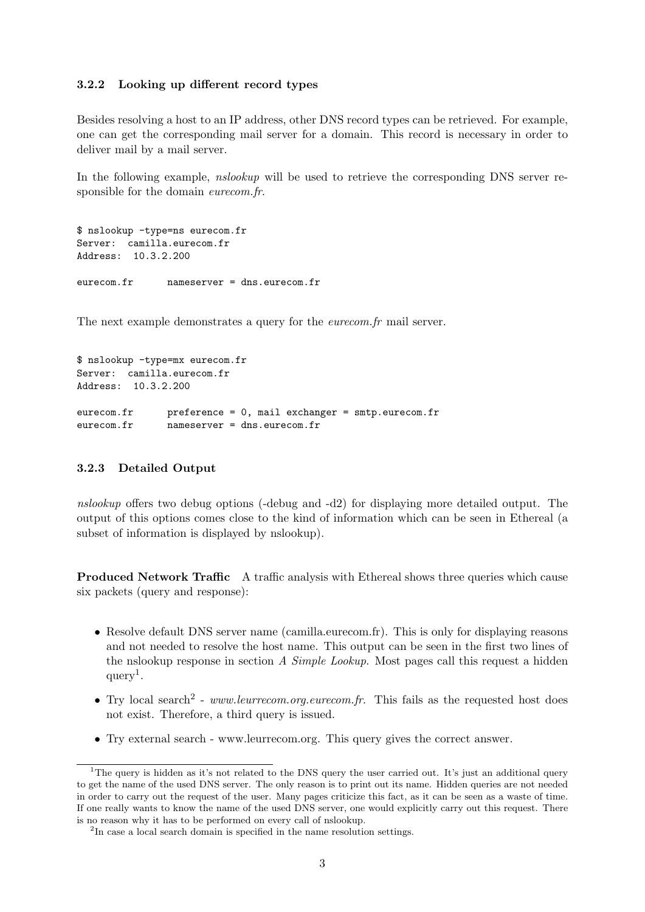#### 3.2.2 Looking up different record types

Besides resolving a host to an IP address, other DNS record types can be retrieved. For example, one can get the corresponding mail server for a domain. This record is necessary in order to deliver mail by a mail server.

In the following example, *nslookup* will be used to retrieve the corresponding DNS server responsible for the domain *eurecom.fr.* 

```
$ nslookup -type=ns eurecom.fr
Server: camilla.eurecom.fr
Address: 10.3.2.200
eurecom.fr nameserver = dns.eurecom.fr
```
The next example demonstrates a query for the *eurecom.fr* mail server.

```
$ nslookup -type=mx eurecom.fr
Server: camilla.eurecom.fr
Address: 10.3.2.200
eurecom.fr preference = 0, mail exchanger = smtp.eurecom.fr
eurecom.fr nameserver = dns.eurecom.fr
```
### 3.2.3 Detailed Output

nslookup offers two debug options (-debug and -d2) for displaying more detailed output. The output of this options comes close to the kind of information which can be seen in Ethereal (a subset of information is displayed by nslookup).

Produced Network Traffic A traffic analysis with Ethereal shows three queries which cause six packets (query and response):

- Resolve default DNS server name (camilla.eurecom.fr). This is only for displaying reasons and not needed to resolve the host name. This output can be seen in the first two lines of the nslookup response in section A Simple Lookup. Most pages call this request a hidden  $query<sup>1</sup>$ .
- Try local search<sup>2</sup> www.leurrecom.org.eurecom.fr. This fails as the requested host does not exist. Therefore, a third query is issued.
- Try external search www.leurrecom.org. This query gives the correct answer.

<sup>&</sup>lt;sup>1</sup>The query is hidden as it's not related to the DNS query the user carried out. It's just an additional query to get the name of the used DNS server. The only reason is to print out its name. Hidden queries are not needed in order to carry out the request of the user. Many pages criticize this fact, as it can be seen as a waste of time. If one really wants to know the name of the used DNS server, one would explicitly carry out this request. There is no reason why it has to be performed on every call of nslookup.

<sup>&</sup>lt;sup>2</sup>In case a local search domain is specified in the name resolution settings.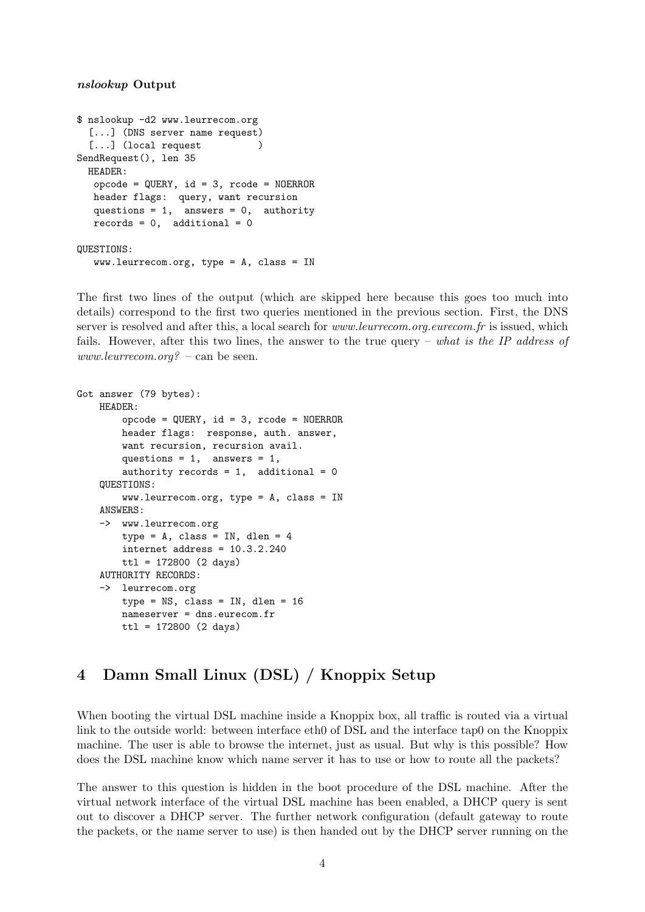#### nslookup Output

```
$ nslookup -d2 www.leurrecom.org
  [...] (DNS server name request)
  [...] (local request )
SendRequest(), len 35
 HEADER:
  opcode = QUERY, id = 3, rcode = NOERROR
  header flags: query, want recursion
  questions = 1, answers = 0, authority
  records = 0, additional = 0QUESTIONS:
  www.leurrecom.org, type = A, class = IN
```
The first two lines of the output (which are skipped here because this goes too much into details) correspond to the first two queries mentioned in the previous section. First, the DNS server is resolved and after this, a local search for *www.leurrecom.org.eurecom.fr* is issued, which fails. However, after this two lines, the answer to the true query – what is the IP address of www.leurrecom.org? – can be seen.

```
Got answer (79 bytes):
    HEADER:
        opcode = QUERY, id = 3, rcode = NOERROR
        header flags: response, auth. answer,
        want recursion, recursion avail.
        questions = 1, answers = 1,
        authority records = 1, additional = 0
    QUESTIONS:
        www.leurrecom.org, type = A, class = IN
    ANSWERS:
    -> www.leurrecom.org
        type = A, class = IN, dlen = 4
        internet address = 10.3.2.240ttl = 172800 (2 days)
    AUTHORITY RECORDS:
    -> leurrecom.org
        type = NS, class = IN, dlen = 16nameserver = dns.eurecom.fr
        ttl = 172800 (2 days)
```
## 4 Damn Small Linux (DSL) / Knoppix Setup

When booting the virtual DSL machine inside a Knoppix box, all traffic is routed via a virtual link to the outside world: between interface eth0 of DSL and the interface tap0 on the Knoppix machine. The user is able to browse the internet, just as usual. But why is this possible? How does the DSL machine know which name server it has to use or how to route all the packets?

The answer to this question is hidden in the boot procedure of the DSL machine. After the virtual network interface of the virtual DSL machine has been enabled, a DHCP query is sent out to discover a DHCP server. The further network configuration (default gateway to route the packets, or the name server to use) is then handed out by the DHCP server running on the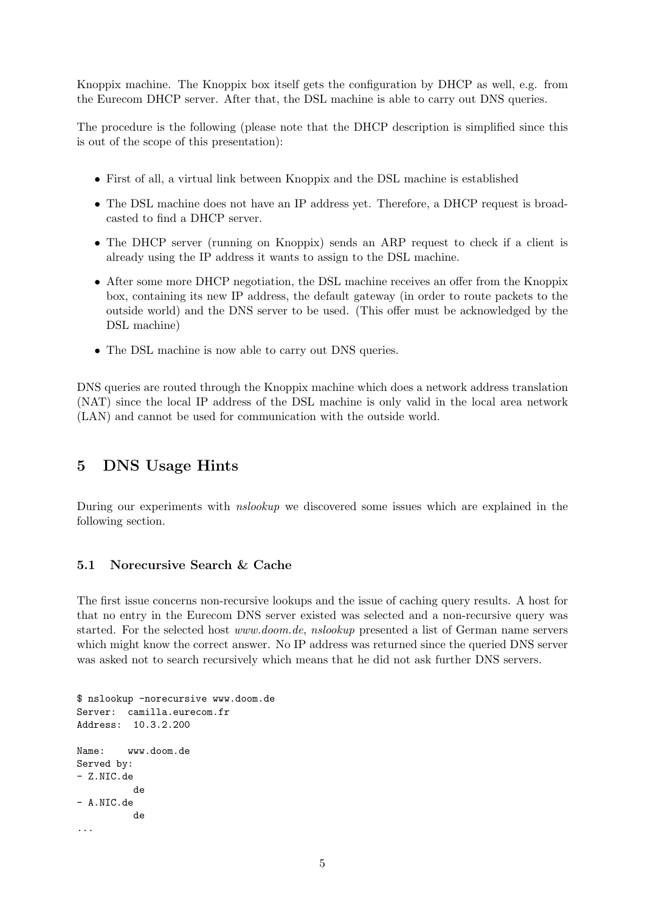Knoppix machine. The Knoppix box itself gets the configuration by DHCP as well, e.g. from the Eurecom DHCP server. After that, the DSL machine is able to carry out DNS queries.

The procedure is the following (please note that the DHCP description is simplified since this is out of the scope of this presentation):

- First of all, a virtual link between Knoppix and the DSL machine is established
- The DSL machine does not have an IP address yet. Therefore, a DHCP request is broadcasted to find a DHCP server.
- The DHCP server (running on Knoppix) sends an ARP request to check if a client is already using the IP address it wants to assign to the DSL machine.
- After some more DHCP negotiation, the DSL machine receives an offer from the Knoppix box, containing its new IP address, the default gateway (in order to route packets to the outside world) and the DNS server to be used. (This offer must be acknowledged by the DSL machine)
- The DSL machine is now able to carry out DNS queries.

DNS queries are routed through the Knoppix machine which does a network address translation (NAT) since the local IP address of the DSL machine is only valid in the local area network (LAN) and cannot be used for communication with the outside world.

## 5 DNS Usage Hints

During our experiments with nslookup we discovered some issues which are explained in the following section.

### 5.1 Norecursive Search & Cache

The first issue concerns non-recursive lookups and the issue of caching query results. A host for that no entry in the Eurecom DNS server existed was selected and a non-recursive query was started. For the selected host www.doom.de, nslookup presented a list of German name servers which might know the correct answer. No IP address was returned since the queried DNS server was asked not to search recursively which means that he did not ask further DNS servers.

```
$ nslookup -norecursive www.doom.de
Server: camilla.eurecom.fr
Address: 10.3.2.200
Name: www.doom.de
Served by:
- Z.NIC.de
          de
- A.NIC.de
          de
...
```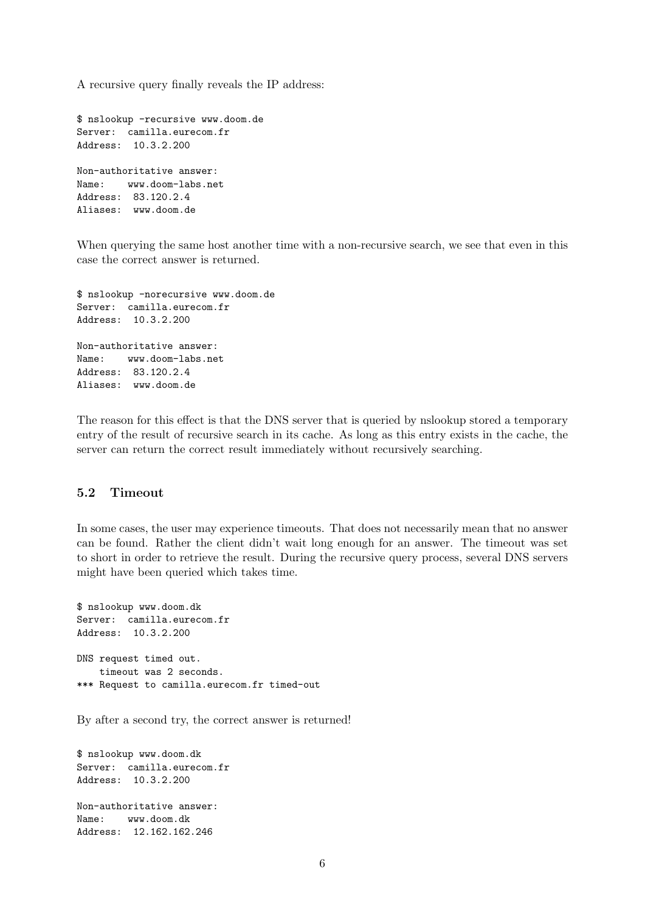A recursive query finally reveals the IP address:

```
$ nslookup -recursive www.doom.de
Server: camilla.eurecom.fr
Address: 10.3.2.200
Non-authoritative answer:
Name: www.doom-labs.net
Address: 83.120.2.4
Aliases: www.doom.de
```
When querying the same host another time with a non-recursive search, we see that even in this case the correct answer is returned.

```
$ nslookup -norecursive www.doom.de
Server: camilla.eurecom.fr
Address: 10.3.2.200
Non-authoritative answer:
Name: www.doom-labs.net
Address: 83.120.2.4
Aliases: www.doom.de
```
The reason for this effect is that the DNS server that is queried by nslookup stored a temporary entry of the result of recursive search in its cache. As long as this entry exists in the cache, the server can return the correct result immediately without recursively searching.

### 5.2 Timeout

In some cases, the user may experience timeouts. That does not necessarily mean that no answer can be found. Rather the client didn't wait long enough for an answer. The timeout was set to short in order to retrieve the result. During the recursive query process, several DNS servers might have been queried which takes time.

```
$ nslookup www.doom.dk
Server: camilla.eurecom.fr
Address: 10.3.2.200
DNS request timed out.
    timeout was 2 seconds.
*** Request to camilla.eurecom.fr timed-out
```
By after a second try, the correct answer is returned!

\$ nslookup www.doom.dk Server: camilla.eurecom.fr Address: 10.3.2.200 Non-authoritative answer: Name: www.doom.dk Address: 12.162.162.246